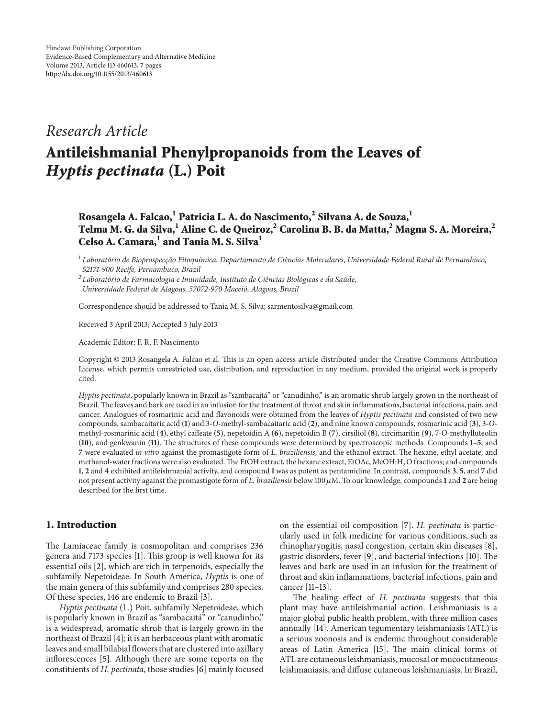## *Research Article*

# **Antileishmanial Phenylpropanoids from the Leaves of** *Hyptis pectinata* **(L.) Poit**

## **Rosangela A. Falcao,<sup>1</sup> Patricia L. A. do Nascimento,<sup>2</sup> Silvana A. de Souza,1 Telma M. G. da Silva,1 Aline C. de Queiroz,<sup>2</sup> Carolina B. B. da Matta,<sup>2</sup> Magna S. A. Moreira,2 Celso A. Camara,1 and Tania M. S. Silva<sup>1</sup>**

<sup>1</sup> Laboratório de Bioprospecção Fitoquímica, Departamento de Ciências Moleculares, Universidade Federal Rural de Pernambuco, *52171-900 Recife, Pernambuco, Brazil*

*<sup>2</sup> Laboratorio de Farmacologia e Imunidade, Instituto de Ci ´ encias Biol ˆ ogicas e da Sa ´ ude, ´ Universidade Federal de Alagoas, 57072-970 Maceio, Alagoas, Brazil ´*

Correspondence should be addressed to Tania M. S. Silva; sarmentosilva@gmail.com

Received 3 April 2013; Accepted 3 July 2013

Academic Editor: F. R. F. Nascimento

Copyright © 2013 Rosangela A. Falcao et al. This is an open access article distributed under the Creative Commons Attribution License, which permits unrestricted use, distribution, and reproduction in any medium, provided the original work is properly cited.

*Hyptis pectinata*, popularly known in Brazil as "sambacaita" or "canudinho," is an aromatic shrub largely grown in the northeast of ´ Brazil.The leaves and bark are used in an infusion for the treatment of throat and skin inflammations, bacterial infections, pain, and cancer. Analogues of rosmarinic acid and flavonoids were obtained from the leaves of *Hyptis pectinata* and consisted of two new compounds, sambacaitaric acid (**1**) and 3-*O*-methyl-sambacaitaric acid (**2**), and nine known compounds, rosmarinic acid (**3**), 3-*O*methyl-rosmarinic acid (**4**), ethyl caffeate (**5**), nepetoidin A (**6**), nepetoidin B (**7**), cirsiliol (**8**), circimaritin (**9**), 7-*O*-methylluteolin (**10**), and genkwanin (**11**). The structures of these compounds were determined by spectroscopic methods. Compounds **1–5**, and **7** were evaluated *in vitro* against the promastigote form of *L. braziliensis*, and the ethanol extract. The hexane, ethyl acetate, and methanol-water fractions were also evaluated. The EtOH extract, the hexane extract, EtOAc, MeOH:H<sub>2</sub>O fractions; and compounds **1**, **2** and **4** exhibited antileishmanial activity, and compound **1** was as potent as pentamidine. In contrast, compounds **3**, **5**, and **7** did not present activity against the promastigote form of *L. braziliensis* below 100  $\mu$ M. To our knowledge, compounds 1 and 2 are being described for the first time.

### **1. Introduction**

The Lamiaceae family is cosmopolitan and comprises 236 genera and 7173 species [\[1\]](#page-5-1). This group is well known for its essential oils [\[2](#page-5-2)], which are rich in terpenoids, especially the subfamily Nepetoideae. In South America, *Hyptis* is one of the main genera of this subfamily and comprises 280 species. Of these species, 146 are endemic to Brazil [\[3\]](#page-5-3).

*Hyptis pectinata* (L.) Poit, subfamily Nepetoideae, which is popularly known in Brazil as "sambacaitá" or "canudinho," is a widespread, aromatic shrub that is largely grown in the northeast of Brazil [\[4](#page-5-4)]; it is an herbaceous plant with aromatic leaves and small bilabial flowers that are clustered into axillary inflorescences [\[5\]](#page-5-5). Although there are some reports on the constituents of *H. pectinata*, those studies [\[6\]](#page-5-6) mainly focused on the essential oil composition [\[7\]](#page-5-7). *H. pectinata* is particularly used in folk medicine for various conditions, such as rhinopharyngitis, nasal congestion, certain skin diseases [\[8](#page-5-8)], gastric disorders, fever [\[9\]](#page-5-9), and bacterial infections [\[10\]](#page-5-10). The leaves and bark are used in an infusion for the treatment of throat and skin inflammations, bacterial infections, pain and cancer [\[11](#page-5-11)[–13](#page-5-12)].

The healing effect of *H. pectinata* suggests that this plant may have antileishmanial action. Leishmaniasis is a major global public health problem, with three million cases annually [\[14\]](#page-5-13). American tegumentary leishmaniasis (ATL) is a serious zoonosis and is endemic throughout considerable areas of Latin America [\[15\]](#page-5-14). The main clinical forms of ATL are cutaneous leishmaniasis, mucosal or mucocutaneous leishmaniasis, and diffuse cutaneous leishmaniasis. In Brazil,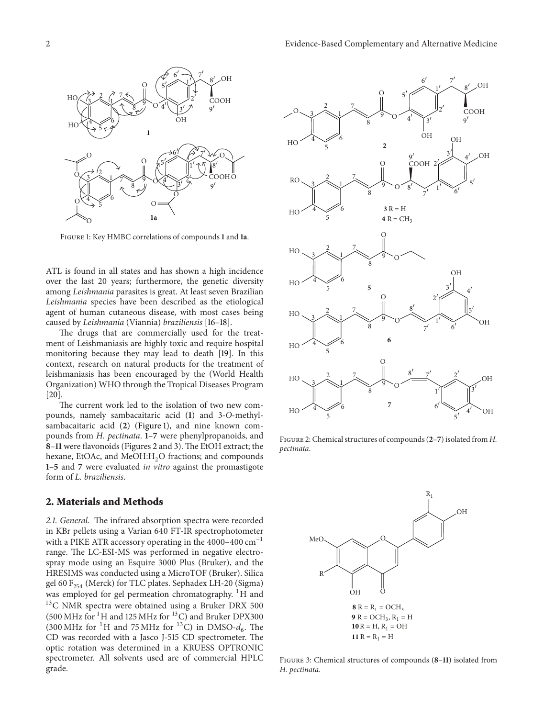

<span id="page-1-0"></span>Figure 1: Key HMBC correlations of compounds **1** and **1a**.

ATL is found in all states and has shown a high incidence over the last 20 years; furthermore, the genetic diversity among *Leishmania* parasites is great. At least seven Brazilian *Leishmania* species have been described as the etiological agent of human cutaneous disease, with most cases being caused by *Leishmania* (Viannia) *braziliensis* [\[16](#page-5-15)[–18\]](#page-5-16).

The drugs that are commercially used for the treatment of Leishmaniasis are highly toxic and require hospital monitoring because they may lead to death [\[19](#page-5-17)]. In this context, research on natural products for the treatment of leishmaniasis has been encouraged by the (World Health Organization) WHO through the Tropical Diseases Program [\[20\]](#page-5-18).

The current work led to the isolation of two new compounds, namely sambacaitaric acid (**1**) and 3-*O*-methylsambacaitaric acid (**2**) [\(Figure 1\)](#page-1-0), and nine known compounds from *H. pectinata*. **1**–**7** were phenylpropanoids, and **8**–**11** were flavonoids (Figures [2](#page-1-1) and [3\)](#page-1-2). The EtOH extract; the hexane, EtOAc, and MeOH:H<sub>2</sub>O fractions; and compounds **1**–**5** and **7** were evaluated *in vitro* against the promastigote form of *L. braziliensis*.

#### **2. Materials and Methods**

*2.1. General.* The infrared absorption spectra were recorded in KBr pellets using a Varian 640 FT-IR spectrophotometer with a PIKE ATR accessory operating in the 4000–400  $\text{cm}^{-1}$ range. The LC-ESI-MS was performed in negative electrospray mode using an Esquire 3000 Plus (Bruker), and the HRESIMS was conducted using a MicroTOF (Bruker). Silica gel 60  $F_{254}$  (Merck) for TLC plates. Sephadex LH-20 (Sigma) was employed for gel permeation chromatography. <sup>1</sup>H and  $^{13}$ C NMR spectra were obtained using a Bruker DRX 500 (500 MHz for  $^{1}$ H and 125 MHz for  $^{13}$ C) and Bruker DPX300 (300 MHz for <sup>1</sup>H and 75 MHz for <sup>13</sup>C) in DMSO- $d_6$ . The CD was recorded with a Jasco J-515 CD spectrometer. The optic rotation was determined in a KRUESS OPTRONIC spectrometer. All solvents used are of commercial HPLC grade.



<span id="page-1-1"></span>Figure 2: Chemical structures of compounds (**2**–**7**) isolated from *H. pectinata*.



<span id="page-1-2"></span>Figure 3: Chemical structures of compounds (**8**–**11**) isolated from *H. pectinata*.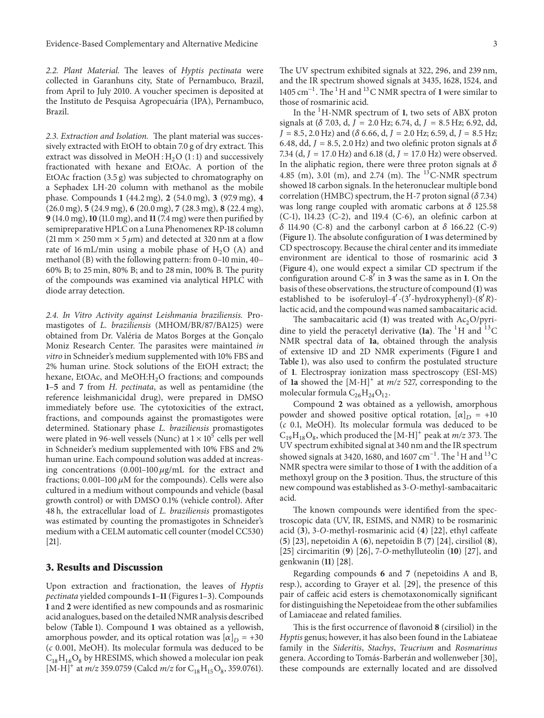*2.2. Plant Material.* The leaves of *Hyptis pectinata* were collected in Garanhuns city, State of Pernambuco, Brazil, from April to July 2010. A voucher specimen is deposited at the Instituto de Pesquisa Agropecuária (IPA), Pernambuco, Brazil.

*2.3. Extraction and Isolation.* The plant material was successively extracted with EtOH to obtain 7.0 g of dry extract. This extract was dissolved in MeOH :  $H_2O$  (1:1) and successively fractionated with hexane and EtOAc. A portion of the EtOAc fraction (3.5 g) was subjected to chromatography on a Sephadex LH-20 column with methanol as the mobile phase. Compounds **1** (44.2 mg), **2** (54.0 mg), **3** (97.9 mg), **4** (26.0 mg), **5** (24.9 mg), **6** (20.0 mg), **7** (28.3 mg), **8** (22.4 mg), **9** (14.0 mg),**10** (11.0 mg), and **11**(7.4 mg) were then purified by semipreparative HPLC on a Luna Phenomenex RP-18 column (21 mm  $\times$  250 mm  $\times$  5  $\mu$ m) and detected at 320 nm at a flow rate of 16 mL/min using a mobile phase of  $H_2O$  (A) and methanol (B) with the following pattern: from 0–10 min, 40– 60% B; to 25 min, 80% B; and to 28 min, 100% B. The purity of the compounds was examined via analytical HPLC with diode array detection.

*2.4. In Vitro Activity against Leishmania braziliensis.* Promastigotes of *L. braziliensis* (MHOM/BR/87/BA125) were obtained from Dr. Valéria de Matos Borges at the Gonçalo Moniz Research Center. The parasites were maintained *in vitro* in Schneider's medium supplemented with 10% FBS and 2% human urine. Stock solutions of the EtOH extract; the hexane, EtOAc, and MeOH:H<sub>2</sub>O fractions; and compounds **1**–**5** and **7** from *H. pectinata*, as well as pentamidine (the reference leishmanicidal drug), were prepared in DMSO immediately before use. The cytotoxicities of the extract, fractions, and compounds against the promastigotes were determined. Stationary phase *L. braziliensis* promastigotes were plated in 96-well vessels (Nunc) at  $1 \times 10^5$  cells per well in Schneider's medium supplemented with 10% FBS and 2% human urine. Each compound solution was added at increasing concentrations  $(0.001-100 \mu g/mL)$  for the extract and fractions; 0.001–100  $\mu$ M for the compounds). Cells were also cultured in a medium without compounds and vehicle (basal growth control) or with DMSO 0.1% (vehicle control). After 48 h, the extracellular load of *L. braziliensis* promastigotes was estimated by counting the promastigotes in Schneider's medium with a CELM automatic cell counter (model CC530) [\[21](#page-5-19)].

#### **3. Results and Discussion**

Upon extraction and fractionation, the leaves of *Hyptis pectinata* yielded compounds**1**–**11**(Figures [1–](#page-1-0)[3\)](#page-1-2). Compounds **1** and **2** were identified as new compounds and as rosmarinic acid analogues, based on the detailed NMR analysis described below [\(Table 1\)](#page-3-0). Compound **1** was obtained as a yellowish, amorphous powder, and its optical rotation was  $[\alpha]_D = +30$ (*c* 0.001, MeOH). Its molecular formula was deduced to be  $C_{18}H_{16}O_8$  by HRESIMS, which showed a molecular ion peak  $[M-H]^{+}$  at *m/z* 359.0759 (Calcd *m/z* for  $C_{18}H_{15}O_8$ , 359.0761). The UV spectrum exhibited signals at 322, 296, and 239 nm, and the IR spectrum showed signals at 3435, 1628, 1524, and 1405 cm−1. The <sup>1</sup> H and <sup>13</sup>C NMR spectra of **1** were similar to those of rosmarinic acid.

In the <sup>1</sup> H-NMR spectrum of **1**, two sets of ABX proton signals at  $(\delta$  7.03, d,  $J = 2.0$  Hz; 6.74, d,  $J = 8.5$  Hz; 6.92, dd,  $J = 8.5, 2.0$  Hz) and ( $\delta$  6.66, d,  $J = 2.0$  Hz; 6.59, d,  $J = 8.5$  Hz; 6.48, dd,  $J = 8.5$ , 2.0 Hz) and two olefinic proton signals at  $\delta$ 7.34 (d,  $J = 17.0$  Hz) and 6.18 (d,  $J = 17.0$  Hz) were observed. In the aliphatic region, there were three proton signals at  $\delta$ 4.85 (m), 3.01 (m), and 2.74 (m). The <sup>13</sup>C-NMR spectrum showed 18 carbon signals. In the heteronuclear multiple bond correlation (HMBC) spectrum, the H-7 proton signal ( $\delta$  7.34) was long range coupled with aromatic carbons at  $\delta$  125.58 (C-1), 114.23 (C-2), and 119.4 (C-6), an olefinic carbon at  $\delta$  114.90 (C-8) and the carbonyl carbon at  $\delta$  166.22 (C-9) [\(Figure 1\)](#page-1-0). The absolute configuration of **1** was determined by CD spectroscopy. Because the chiral center and its immediate environment are identical to those of rosmarinic acid **3** [\(Figure 4\)](#page-3-1), one would expect a similar CD spectrum if the configuration around  $C-8'$  in **3** was the same as in **1**. On the basis of these observations, the structure of compound (**1**) was established to be isoferuloyl-4'-(3'-hydroxyphenyl)-(8'R)lactic acid, and the compound was named sambacaitaric acid.

The sambacaitaric acid  $(1)$  was treated with Ac<sub>2</sub>O/pyridine to yield the peracetyl derivative (1a). The <sup>1</sup>H and <sup>13</sup>C NMR spectral data of **1a**, obtained through the analysis of extensive 1D and 2D NMR experiments [\(Figure 1](#page-1-0) and [Table 1\)](#page-3-0), was also used to confirm the postulated structure of **1**. Electrospray ionization mass spectroscopy (ESI-MS) of **1a** showed the [M-H]<sup>+</sup> at *m/z* 527, corresponding to the molecular formula  $C_{26}H_{24}O_{12}$ .

Compound **2** was obtained as a yellowish, amorphous powder and showed positive optical rotation,  $[\alpha]_D = +10$ (*c* 0.1, MeOH). Its molecular formula was deduced to be  $C_{19}H_{18}O_8$ , which produced the  $[M-H]^+$  peak at *m/z* 373. The UV spectrum exhibited signal at 340 nm and the IR spectrum showed signals at 3420, 1680, and 1607  $\rm cm^{-1}$ . The  $^1\rm H$  and  $^{13}\rm C$ NMR spectra were similar to those of **1** with the addition of a methoxyl group on the **3** position. Thus, the structure of this new compound was established as 3-*O*-methyl-sambacaitaric acid.

The known compounds were identified from the spectroscopic data (UV, IR, ESIMS, and NMR) to be rosmarinic acid (**3**), 3-*O*-methyl-rosmarinic acid (**4**) [\[22](#page-5-20)], ethyl caffeate (**5**) [\[23](#page-5-21)], nepetoidin A (**6**), nepetoidin B (**7**) [\[24\]](#page-5-22), cirsiliol (**8**), [\[25](#page-5-23)] circimaritin (**9**) [\[26\]](#page-5-24), 7-*O*-methylluteolin (**10**) [\[27](#page-5-25)], and genkwanin (**11**) [\[28](#page-5-26)].

Regarding compounds **6** and **7** (nepetoidins A and B, resp.), according to Grayer et al. [\[29\]](#page-6-0), the presence of this pair of caffeic acid esters is chemotaxonomically significant for distinguishing the Nepetoideae from the other subfamilies of Lamiaceae and related families.

This is the first occurrence of flavonoid **8** (cirsiliol) in the *Hyptis* genus; however, it has also been found in the Labiateae family in the *Sideritis*, *Stachys*, *Teucrium* and *Rosmarinus* genera. According to Tomás-Barberán and wollenweber [[30](#page-6-1)], these compounds are externally located and are dissolved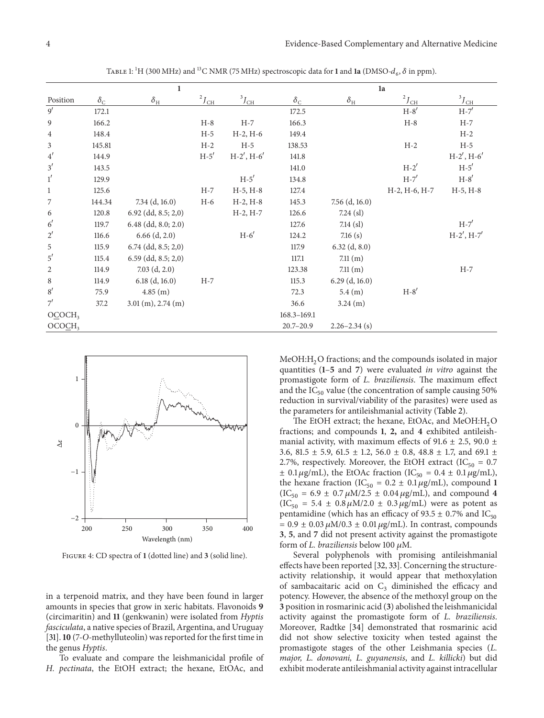|                    | 1                |                          |                     | 1a              |                  |                   |                     |                  |
|--------------------|------------------|--------------------------|---------------------|-----------------|------------------|-------------------|---------------------|------------------|
| Position           | $\delta_{\rm C}$ | $\delta_{\rm H}$         | $^{2}J_{\text{CH}}$ | $^3J_{\rm{CH}}$ | $\delta_{\rm C}$ | $\delta_{\rm H}$  | $^{2}J_{\text{CH}}$ | $3J_{\text{CH}}$ |
| $\overline{9'}$    | 172.1            |                          |                     |                 | 172.5            |                   | $H-8'$              | $H-7'$           |
| $\overline{9}$     | 166.2            |                          | $H-8$               | $H-7$           | 166.3            |                   | $H-8$               | $H-7$            |
| $\overline{4}$     | 148.4            |                          | $H-5$               | $H-2, H-6$      | 149.4            |                   |                     | $H-2$            |
| $\mathfrak{Z}$     | 145.81           |                          | $H-2$               | $H-5$           | 138.53           |                   | $H-2$               | $H-5$            |
| 4'                 | 144.9            |                          | $H-5'$              | $H-2'$ , $H-6'$ | 141.8            |                   |                     | $H-2'$ , $H-6'$  |
| 3'                 | 143.5            |                          |                     |                 | 141.0            |                   | $H-2'$              | $H-5'$           |
| 1'                 | 129.9            |                          |                     | $H-5'$          | 134.8            |                   | $H-7'$              | $H-8'$           |
| $\mathbf{1}$       | 125.6            |                          | $H-7$               | $H-5, H-8$      | 127.4            |                   | H-2, H-6, H-7       | $H-5, H-8$       |
| 7                  | 144.34           | $7.34$ (d, 16.0)         | $H-6$               | $H-2, H-8$      | 145.3            | $7.56$ (d, 16.0)  |                     |                  |
| 6                  | 120.8            | $6.92$ (dd, $8.5; 2,0$ ) |                     | $H-2, H-7$      | 126.6            | $7.24$ (sl)       |                     |                  |
| 6'                 | 119.7            | $6.48$ (dd, $8.0; 2.0$ ) |                     |                 | 127.6            | $7.14$ (sl)       |                     | $H-7'$           |
| $2^{\prime}$       | 116.6            | $6.66$ $(d, 2.0)$        |                     | $H-6'$          | 124.2            | 7.16(s)           |                     | $H-2'$ , $H-7'$  |
| $\mathbf 5$        | 115.9            | $6.74$ (dd, 8.5; 2,0)    |                     |                 | 117.9            | $6.32$ (d, 8.0)   |                     |                  |
| 5'                 | 115.4            | $6.59$ (dd, $8.5; 2,0$ ) |                     |                 | 117.1            | 7.11(m)           |                     |                  |
| $\sqrt{2}$         | 114.9            | $7.03$ (d, 2.0)          |                     |                 | 123.38           | 7.11(m)           |                     | $H-7$            |
| $\,8\,$            | 114.9            | $6.18$ (d, 16.0)         | $H-7$               |                 | 115.3            | $6.29$ (d, 16.0)  |                     |                  |
| 8'                 | 75.9             | 4.85(m)                  |                     |                 | 72.3             | 5.4(m)            | $H-8'$              |                  |
| 7'                 | 37.2             | $3.01$ (m), $2.74$ (m)   |                     |                 | 36.6             | 3.24 (m)          |                     |                  |
| OCOCH <sub>3</sub> |                  |                          |                     |                 | 168.3-169.1      |                   |                     |                  |
| OCOCH <sub>3</sub> |                  |                          |                     |                 | $20.7 - 20.9$    | $2.26 - 2.34$ (s) |                     |                  |

<span id="page-3-0"></span>TABLE 1: <sup>1</sup>H (300 MHz) and <sup>13</sup>C NMR (75 MHz) spectroscopic data for **1** and **1a** (DMSO- $d_6$ ,  $\delta$  in ppm).



<span id="page-3-1"></span>Figure 4: CD spectra of **1** (dotted line) and **3** (solid line).

in a terpenoid matrix, and they have been found in larger amounts in species that grow in xeric habitats. Flavonoids **9** (circimaritin) and **11** (genkwanin) were isolated from *Hyptis fasciculata*, a native species of Brazil, Argentina, and Uruguay [\[31\]](#page-6-2).**10** (7-*O-*methylluteolin) was reported for the first time in the genus *Hyptis*.

To evaluate and compare the leishmanicidal profile of *H. pectinata*, the EtOH extract; the hexane, EtOAc, and  $MeOH:H<sub>2</sub>O$  fractions; and the compounds isolated in major quantities (**1**–**5** and **7**) were evaluated *in vitro* against the promastigote form of *L. braziliensis*. The maximum effect and the  $IC_{50}$  value (the concentration of sample causing 50% reduction in survival/viability of the parasites) were used as the parameters for antileishmanial activity [\(Table 2\)](#page-4-0).

The EtOH extract; the hexane, EtOAc, and MeOH: $H_2O$ fractions; and compounds **1**, **2,** and **4** exhibited antileishmanial activity, with maximum effects of 91.6  $\pm$  2.5, 90.0  $\pm$ 3.6, 81.5  $\pm$  5.9, 61.5  $\pm$  1.2, 56.0  $\pm$  0.8, 48.8  $\pm$  1.7, and 69.1  $\pm$ 2.7%, respectively. Moreover, the EtOH extract (IC<sub>50</sub> = 0.7)  $\pm$  0.1  $\mu$ g/mL), the EtOAc fraction (IC<sub>50</sub> = 0.4  $\pm$  0.1  $\mu$ g/mL), the hexane fraction (IC<sub>50</sub> =  $0.2 \pm 0.1 \,\mu\text{g/mL}$ ), compound 1  $(IC_{50} = 6.9 \pm 0.7 \,\mu\text{M}/2.5 \pm 0.04 \,\mu\text{g/mL})$ , and compound 4  $(IC_{50} = 5.4 \pm 0.8 \,\mu\text{M}/2.0 \pm 0.3 \,\mu\text{g/mL})$  were as potent as pentamidine (which has an efficacy of  $93.5 \pm 0.7\%$  and IC<sub>50</sub>  $= 0.9 \pm 0.03 \,\mu\text{M}/0.3 \pm 0.01 \,\mu\text{g/mL}$ . In contrast, compounds **3**, **5**, and **7** did not present activity against the promastigote form of *L. braziliensis* below 100  $\mu$ M.

Several polyphenols with promising antileishmanial effects have been reported [\[32,](#page-6-3) [33\]](#page-6-4). Concerning the structureactivity relationship, it would appear that methoxylation of sambacaitaric acid on  $C_3$  diminished the efficacy and potency. However, the absence of the methoxyl group on the **3** position in rosmarinic acid (**3**) abolished the leishmanicidal activity against the promastigote form of *L. braziliensis*. Moreover, Radtke [\[34](#page-6-5)] demonstrated that rosmarinic acid did not show selective toxicity when tested against the promastigote stages of the other Leishmania species (*L. major, L. donovani, L. guyanensis*, and *L. killicki*) but did exhibit moderate antileishmanial activity against intracellular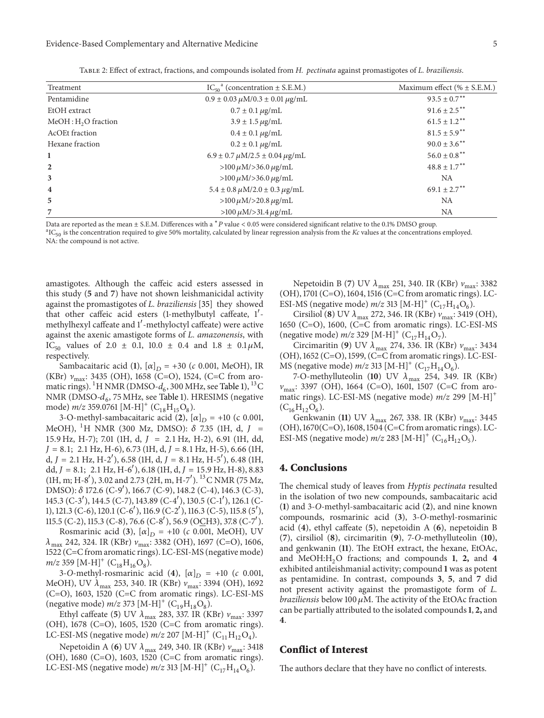#### Evidence-Based Complementary and Alternative Medicine 5

| Treatment                       | $IC_{50}^{\alpha}$ (concentration $\pm$ S.E.M.)           | Maximum effect ( $% \pm$ S.E.M.) |  |
|---------------------------------|-----------------------------------------------------------|----------------------------------|--|
| Pentamidine                     | $0.9 \pm 0.03 \mu M/0.3 \pm 0.01 \mu g/mL$                | $93.5 \pm 0.7$ <sup>**</sup>     |  |
| EtOH extract                    | $0.7 \pm 0.1 \,\mu g/mL$                                  | $91.6 \pm 2.5$ **                |  |
| MeOH: H <sub>2</sub> O fraction | $3.9 \pm 1.5 \,\mu g/mL$                                  | $61.5 \pm 1.2$ <sup>**</sup>     |  |
| <b>AcOEt</b> fraction           | $0.4 \pm 0.1 \,\mu g/mL$                                  | $81.5 \pm 5.9$ <sup>**</sup>     |  |
| Hexane fraction                 | $0.2 \pm 0.1 \,\mu g/mL$                                  | $90.0 \pm 3.6$ **                |  |
| 1                               | $6.9 \pm 0.7 \,\mu\text{M}/2.5 \pm 0.04 \,\mu\text{g/mL}$ | $56.0 \pm 0.8$ <sup>**</sup>     |  |
| $\overline{2}$                  | $>100 \mu M / > 36.0 \mu g/mL$                            | $48.8 \pm 1.7***$                |  |
| 3                               | $>100 \mu M / > 36.0 \mu g/mL$                            | <b>NA</b>                        |  |
| $\overline{\mathbf{4}}$         | $5.4 \pm 0.8 \,\mu\text{M}/2.0 \pm 0.3 \,\mu\text{g/mL}$  | $69.1 \pm 2.7$ <sup>**</sup>     |  |
| 5                               | $>100 \mu M / > 20.8 \mu g/mL$                            | NA                               |  |
| 7                               | $>100 \mu M / > 31.4 \mu g/mL$                            | NA                               |  |

<span id="page-4-0"></span>Table 2: Effect of extract, fractions, and compounds isolated from *H. pectinata* against promastigotes of *L. braziliensis*.

Data are reported as the mean  $\pm$  S.E.M. Differences with a  $*P$  value < 0.05 were considered significant relative to the 0.1% DMSO group.

IC<sup>50</sup> is the concentration required to give 50% mortality, calculated by linear regression analysis from the *Kc* values at the concentrations employed. NA: the compound is not active.

amastigotes. Although the caffeic acid esters assessed in this study (**5** and **7**) have not shown leishmanicidal activity against the promastigotes of *L. braziliensis* [\[35](#page-6-6)] they showed that other caffeic acid esters (1-methylbutyl caffeate, 1'methylhexyl caffeate and 1 -methyloctyl caffeate) were active against the axenic amastigote forms of *L. amazonensis*, with IC<sub>50</sub> values of 2.0  $\pm$  0.1, 10.0  $\pm$  0.4 and 1.8  $\pm$  0.1  $\mu$ M, respectively.

Sambacaitaric acid (1),  $[\alpha]_D = +30$  (*c* 0.001, MeOH), IR (KBr)  $v_{\text{max}}$ : 3435 (OH), 1658 (C=O), 1524, (C=C from aromatic rings). <sup>1</sup>H NMR (DMSO- $d_6$ , 300 MHz, see [Table 1\)](#page-3-0), <sup>13</sup>C NMR (DMSO- $d_6$ , 75 MHz, see [Table 1\)](#page-3-0). HRESIMS (negative mode)  $m/z$  359.0761 [M-H]<sup>+</sup> (C<sub>18</sub>H<sub>15</sub>O<sub>8</sub>).

3-O-methyl-sambacaitaric acid (2),  $[\alpha]_D$  = +10 (c 0.001, MeOH), <sup>1</sup>H NMR (300 Mz, DMSO):  $\delta$  7.35 (1H, d, J = 15.9 Hz, H-7); 7.01 (1H, d,  $J = 2.1$  Hz, H-2), 6.91 (1H, dd,  $J = 8.1$ ; 2.1 Hz, H-6), 6.73 (1H, d,  $J = 8.1$  Hz, H-5), 6.66 (1H, d,  $J = 2.1$  Hz, H-2'), 6.58 (1H, d,  $J = 8.1$  Hz, H-5'), 6.48 (1H, dd,  $J = 8.1$ ; 2.1 Hz, H-6<sup>'</sup>), 6.18 (1H, d,  $J = 15.9$  Hz, H-8), 8.83 (1H, m; H-8<sup>'</sup>), 3.02 and 2.73 (2H, m, H-7<sup>'</sup>). <sup>13</sup>C NMR (75 Mz, DMSO): δ 172.6 (C-9'), 166.7 (C-9), 148.2 (C-4), 146.3 (C-3), 145.3 (C-3 ), 144.5 (C-7), 143.89 (C-4 ), 130.5 (C-1 ), 126.1 (C-1), 121.3 (C-6), 120.1 (C-6 ), 116.9 (C-2 ), 116.3 (C-5), 115.8 (5 ), 115.5 (C-2), 115.3 (C-8), 76.6 (C-8'), 56.9 (OCH3), 37.8 (C-7').

Rosmarinic acid (3),  $[\alpha]_D = +10$  (*c* 0.001, MeOH), UV  $\lambda_{\text{max}}$  242, 324. IR (KBr)  $v_{\text{max}}$ : 3382 (OH), 1697 (C=O), 1606, 1522 (C=C from aromatic rings). LC-ESI-MS (negative mode)  $m/z$  359  $[M-H]^+$  (C<sub>18</sub>H<sub>16</sub>O<sub>8</sub>).

3-O-methyl-rosmarinic acid (4),  $[\alpha]_D$  = +10 (*c* 0.001, MeOH), UV  $\lambda_{\text{max}}$  253, 340. IR (KBr)  $v_{\text{max}}$ : 3394 (OH), 1692 (C=O), 1603, 1520 (C=C from aromatic rings). LC-ESI-MS (negative mode)  $m/z$  373 [M-H]<sup>+</sup> (C<sub>19</sub>H<sub>18</sub>O<sub>8</sub>).

Ethyl caffeate (5) UV  $\lambda_{\text{max}}$  283, 337. IR (KBr)  $v_{\text{max}}$ : 3397 (OH), 1678 (C=O), 1605, 1520 (C=C from aromatic rings). LC-ESI-MS (negative mode)  $m/z$  207 [M-H]<sup>+</sup> (C<sub>11</sub>H<sub>12</sub>O<sub>4</sub>).

Nepetoidin A (**6**) UV  $\lambda_{\text{max}}$  249, 340. IR (KBr)  $v_{\text{max}}$ : 3418 (OH), 1680 (C=O), 1603, 1520 (C=C from aromatic rings). LC-ESI-MS (negative mode)  $m/z$  313 [M-H]<sup>+</sup> (C<sub>17</sub>H<sub>14</sub>O<sub>6</sub>).

Nepetoidin B (7) UV  $\lambda_{\text{max}}$  251, 340. IR (KBr)  $v_{\text{max}}$ : 3382 (OH), 1701 (C=O), 1604, 1516 (C=C from aromatic rings). LC-ESI-MS (negative mode)  $m/z$  313 [M-H]<sup>+</sup> (C<sub>17</sub>H<sub>14</sub>O<sub>6</sub>).

Cirsiliol (**8**) UV  $\lambda_{\text{max}}$  272, 346. IR (KBr)  $v_{\text{max}}$ : 3419 (OH), 1650 (C=O), 1600, (C=C from aromatic rings). LC-ESI-MS (negative mode)  $m/z$  329 [M-H]<sup>+</sup> (C<sub>17</sub>H<sub>14</sub>O<sub>7</sub>).

Circimaritin (9) UV  $\lambda_{\text{max}}$  274, 336. IR (KBr)  $v_{\text{max}}$ : 3434 (OH), 1652 (C=O), 1599, (C=C from aromatic rings). LC-ESI-MS (negative mode)  $m/z$  313 [M-H]<sup>+</sup> (C<sub>17</sub>H<sub>14</sub>O<sub>6</sub>).

7-O-methylluteolin (10) UV  $\lambda_{\text{max}}$  254, 349. IR (KBr)  $v_{\text{max}}$ : 3397 (OH), 1664 (C=O), 1601, 1507 (C=C from aromatic rings). LC-ESI-MS (negative mode) *m/z* 299 [M-H]<sup>+</sup>  $(C_{16}H_{12}O_6).$ 

Genkwanin (11) UV  $\lambda_{\text{max}}$  267, 338. IR (KBr)  $v_{\text{max}}$ : 3445 (OH), 1670(C=O), 1608, 1504 (C=C from aromatic rings). LC-ESI-MS (negative mode)  $m/z$  283 [M-H]<sup>+</sup> (C<sub>16</sub>H<sub>12</sub>O<sub>5</sub>).

#### **4. Conclusions**

The chemical study of leaves from *Hyptis pectinata* resulted in the isolation of two new compounds, sambacaitaric acid (**1**) and 3-*O*-methyl-sambacaitaric acid (**2**), and nine known compounds, rosmarinic acid (**3**), 3-*O*-methyl-rosmarinic acid (**4**), ethyl caffeate (**5**), nepetoidin A (**6**), nepetoidin B (**7**), cirsiliol (**8**), circimaritin (**9**), 7-*O*-methylluteolin (**10**), and genkwanin (**11**). The EtOH extract, the hexane, EtOAc, and MeOH:H2O fractions; and compounds **<sup>1</sup>**, **2,** and **<sup>4</sup>** exhibited antileishmanial activity; compound **1** was as potent as pentamidine. In contrast, compounds **3**, **5**, and **7** did not present activity against the promastigote form of *L. braziliensis* below 100  $\mu$ M. The activity of the EtOAc fraction can be partially attributed to the isolated compounds**1**, **2,** and **4**.

#### **Conflict of Interest**

The authors declare that they have no conflict of interests.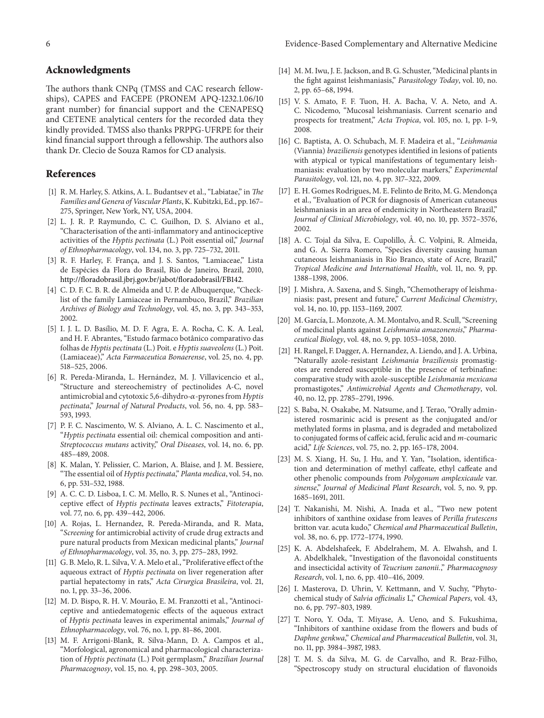#### **Acknowledgments**

The authors thank CNPq (TMSS and CAC research fellowships), CAPES and FACEPE (PRONEM APQ-1232.1.06/10 grant number) for financial support and the CENAPESQ and CETENE analytical centers for the recorded data they kindly provided. TMSS also thanks PRPPG-UFRPE for their kind financial support through a fellowship. The authors also thank Dr. Clecio de Souza Ramos for CD analysis.

#### <span id="page-5-0"></span>**References**

- <span id="page-5-1"></span>[1] R. M. Harley, S. Atkins, A. L. Budantsev et al., "Labiatae," in *The Families and Genera of Vascular Plants*, K. Kubitzki, Ed., pp. 167– 275, Springer, New York, NY, USA, 2004.
- <span id="page-5-2"></span>[2] L. J. R. P. Raymundo, C. C. Guilhon, D. S. Alviano et al., "Characterisation of the anti-inflammatory and antinociceptive activities of the *Hyptis pectinata* (L.) Poit essential oil," *Journal of Ethnopharmacology*, vol. 134, no. 3, pp. 725–732, 2011.
- <span id="page-5-3"></span>[3] R. F. Harley, F. França, and J. S. Santos, "Lamiaceae," Lista de Espécies da Flora do Brasil, Rio de Janeiro, Brazil, 2010, [http://floradobrasil.jbrj.gov.br/jabot/floradobrasil/FB142.](http://floradobrasil.jbrj.gov.br/jabot/floradobrasil/FB142)
- <span id="page-5-4"></span>[4] C. D. F. C. B. R. de Almeida and U. P. de Albuquerque, "Checklist of the family Lamiaceae in Pernambuco, Brazil," *Brazilian Archives of Biology and Technology*, vol. 45, no. 3, pp. 343–353, 2002.
- <span id="page-5-5"></span>[5] I. J. L. D. Basílio, M. D. F. Agra, E. A. Rocha, C. K. A. Leal, and H. F. Abrantes, "Estudo farmaco botânico comparativo das folhas de *Hyptis pectinata* (L.) Poit. e *Hyptis suaveolens* (L.) Poit. (Lamiaceae)," *Acta Farmaceutica Bonaerense*, vol. 25, no. 4, pp. 518–525, 2006.
- <span id="page-5-6"></span>[6] R. Pereda-Miranda, L. Hernández, M. J. Villavicencio et al., "Structure and stereochemistry of pectinolides A-C, novel antimicrobial and cytotoxic 5,6-dihydro-α-pyrones from *Hyptis pectinata*," *Journal of Natural Products*, vol. 56, no. 4, pp. 583– 593, 1993.
- <span id="page-5-7"></span>[7] P. F. C. Nascimento, W. S. Alviano, A. L. C. Nascimento et al., "*Hyptis pectinata* essential oil: chemical composition and anti-*Streptococcus mutans* activity," *Oral Diseases*, vol. 14, no. 6, pp. 485–489, 2008.
- <span id="page-5-8"></span>[8] K. Malan, Y. Pelissier, C. Marion, A. Blaise, and J. M. Bessiere, "The essential oil of *Hyptis pectinata*," *Planta medica*, vol. 54, no. 6, pp. 531–532, 1988.
- <span id="page-5-9"></span>[9] A. C. C. D. Lisboa, I. C. M. Mello, R. S. Nunes et al., "Antinociceptive effect of *Hyptis pectinata* leaves extracts," *Fitoterapia*, vol. 77, no. 6, pp. 439–442, 2006.
- <span id="page-5-10"></span>[10] A. Rojas, L. Hernandez, R. Pereda-Miranda, and R. Mata, "*Screening* for antimicrobial activity of crude drug extracts and pure natural products from Mexican medicinal plants," *Journal of Ethnopharmacology*, vol. 35, no. 3, pp. 275–283, 1992.
- <span id="page-5-11"></span>[11] G. B. Melo, R. L. Silva, V. A. Melo et al., "Proliferative effect of the aqueous extract of *Hyptis pectinata* on liver regeneration after partial hepatectomy in rats," *Acta Cirurgica Brasileira*, vol. 21, no. 1, pp. 33–36, 2006.
- [12] M. D. Bispo, R. H. V. Mourão, E. M. Franzotti et al., "Antinociceptive and antiedematogenic effects of the aqueous extract of *Hyptis pectinata* leaves in experimental animals," *Journal of Ethnopharmacology*, vol. 76, no. 1, pp. 81–86, 2001.
- <span id="page-5-12"></span>[13] M. F. Arrigoni-Blank, R. Silva-Mann, D. A. Campos et al., "Morfological, agronomical and pharmacological characterization of *Hyptis pectinata* (L.) Poit germplasm," *Brazilian Journal Pharmacognosy*, vol. 15, no. 4, pp. 298–303, 2005.
- <span id="page-5-13"></span>[14] M. M. Iwu, J. E. Jackson, and B. G. Schuster, "Medicinal plants in the fight against leishmaniasis," *Parasitology Today*, vol. 10, no. 2, pp. 65–68, 1994.
- <span id="page-5-14"></span>[15] V. S. Amato, F. F. Tuon, H. A. Bacha, V. A. Neto, and A. C. Nicodemo, "Mucosal leishmaniasis. Current scenario and prospects for treatment," *Acta Tropica*, vol. 105, no. 1, pp. 1–9, 2008.
- <span id="page-5-15"></span>[16] C. Baptista, A. O. Schubach, M. F. Madeira et al., "*Leishmania* (Viannia) *braziliensis* genotypes identified in lesions of patients with atypical or typical manifestations of tegumentary leishmaniasis: evaluation by two molecular markers," *Experimental Parasitology*, vol. 121, no. 4, pp. 317–322, 2009.
- [17] E. H. Gomes Rodrigues, M. E. Felinto de Brito, M. G. Mendonça et al., "Evaluation of PCR for diagnosis of American cutaneous leishmaniasis in an area of endemicity in Northeastern Brazil," *Journal of Clinical Microbiology*, vol. 40, no. 10, pp. 3572–3576, 2002.
- <span id="page-5-16"></span>[18] A. C. Tojal da Silva, E. Cupolillo, Â. C. Volpini, R. Almeida, and G. A. Sierra Romero, "Species diversity causing human cutaneous leishmaniasis in Rio Branco, state of Acre, Brazil," *Tropical Medicine and International Health*, vol. 11, no. 9, pp. 1388–1398, 2006.
- <span id="page-5-17"></span>[19] J. Mishra, A. Saxena, and S. Singh, "Chemotherapy of leishmaniasis: past, present and future," *Current Medicinal Chemistry*, vol. 14, no. 10, pp. 1153–1169, 2007.
- <span id="page-5-18"></span>[20] M. García, L. Monzote, A. M. Montalvo, and R. Scull, "Screening of medicinal plants against *Leishmania amazonensis*," *Pharmaceutical Biology*, vol. 48, no. 9, pp. 1053–1058, 2010.
- <span id="page-5-19"></span>[21] H. Rangel, F. Dagger, A. Hernandez, A. Liendo, and J. A. Urbina, "Naturally azole-resistant *Leishmania braziliensis* promastigotes are rendered susceptible in the presence of terbinafine: comparative study with azole-susceptible *Leishmania mexicana* promastigotes," *Antimicrobial Agents and Chemotherapy*, vol. 40, no. 12, pp. 2785–2791, 1996.
- <span id="page-5-20"></span>[22] S. Baba, N. Osakabe, M. Natsume, and J. Terao, "Orally administered rosmarinic acid is present as the conjugated and/or methylated forms in plasma, and is degraded and metabolized to conjugated forms of caffeic acid, ferulic acid and *m*-coumaric acid," *Life Sciences*, vol. 75, no. 2, pp. 165–178, 2004.
- <span id="page-5-21"></span>[23] M. S. Xiang, H. Su, J. Hu, and Y. Yan, "Isolation, identification and determination of methyl caffeate, ethyl caffeate and other phenolic compounds from *Polygonum amplexicaule* var. *sinense*," *Journal of Medicinal Plant Research*, vol. 5, no. 9, pp. 1685–1691, 2011.
- <span id="page-5-22"></span>[24] T. Nakanishi, M. Nishi, A. Inada et al., "Two new potent inhibitors of xanthine oxidase from leaves of *Perilla frutescens* britton var. acuta kudo," *Chemical and Pharmaceutical Bulletin*, vol. 38, no. 6, pp. 1772–1774, 1990.
- <span id="page-5-23"></span>[25] K. A. Abdelshafeek, F. Abdelrahem, M. A. Elwahsh, and I. A. Abdelkhalek, "Investigation of the flavonoidal constituents and insecticidal activity of *Teucrium zanonii.*," *Pharmacognosy Research*, vol. 1, no. 6, pp. 410–416, 2009.
- <span id="page-5-24"></span>[26] I. Masterova, D. Uhrin, V. Kettmann, and V. Suchy, "Phytochemical study of *Salvia officinalis* L," *Chemical Papers*, vol. 43, no. 6, pp. 797–803, 1989.
- <span id="page-5-25"></span>[27] T. Noro, Y. Oda, T. Miyase, A. Ueno, and S. Fukushima, "Inhibitors of xanthine oxidase from the flowers and buds of *Daphne genkwa*," *Chemical and Pharmaceutical Bulletin*, vol. 31, no. 11, pp. 3984–3987, 1983.
- <span id="page-5-26"></span>[28] T. M. S. da Silva, M. G. de Carvalho, and R. Braz-Filho, "Spectroscopy study on structural elucidation of flavonoids